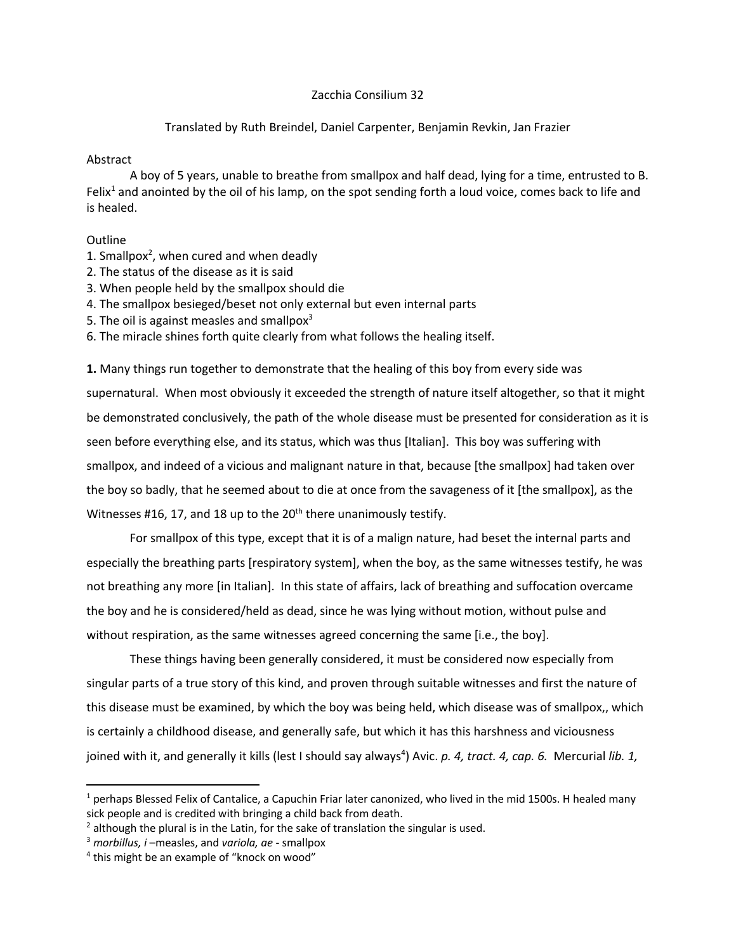## Zacchia Consilium 32

## Translated by Ruth Breindel, Daniel Carpenter, Benjamin Revkin, Jan Frazier

## Abstract

A boy of 5 years, unable to breathe from smallpox and half dead, lying for a time, entrusted to B. Felix<sup>1</sup> and anointed by the oil of his lamp, on the spot sending forth a loud voice, comes back to life and is healed.

## **Outline**

- 1. Smallpox<sup>2</sup>, when cured and when deadly
- 2. The status of the disease as it is said
- 3. When people held by the smallpox should die
- 4. The smallpox besieged/beset not only external but even internal parts
- 5. The oil is against measles and smallpox $3$
- 6. The miracle shines forth quite clearly from what follows the healing itself.

**1.** Many things run together to demonstrate that the healing of this boy from every side was supernatural. When most obviously it exceeded the strength of nature itself altogether, so that it might be demonstrated conclusively, the path of the whole disease must be presented for consideration as it is seen before everything else, and its status, which was thus [Italian]. This boy was suffering with smallpox, and indeed of a vicious and malignant nature in that, because [the smallpox] had taken over the boy so badly, that he seemed about to die at once from the savageness of it [the smallpox], as the Witnesses #16, 17, and 18 up to the  $20<sup>th</sup>$  there unanimously testify.

For smallpox of this type, except that it is of a malign nature, had beset the internal parts and especially the breathing parts [respiratory system], when the boy, as the same witnesses testify, he was not breathing any more [in Italian]. In this state of affairs, lack of breathing and suffocation overcame the boy and he is considered/held as dead, since he was lying without motion, without pulse and without respiration, as the same witnesses agreed concerning the same [i.e., the boy].

These things having been generally considered, it must be considered now especially from singular parts of a true story of this kind, and proven through suitable witnesses and first the nature of this disease must be examined, by which the boy was being held, which disease was of smallpox,, which is certainly a childhood disease, and generally safe, but which it has this harshness and viciousness joined with it, and generally it kills (lest I should say always<sup>4</sup>) Avic. p. 4, tract. 4, cap. 6. Mercurial lib. 1,

 $1$  perhaps Blessed Felix of Cantalice, a Capuchin Friar later canonized, who lived in the mid 1500s. H healed many sick people and is credited with bringing a child back from death.

 $2$  although the plural is in the Latin, for the sake of translation the singular is used.

<sup>3</sup> *morbillus, i* –measles, and *variola, ae* - smallpox

<sup>&</sup>lt;sup>4</sup> this might be an example of "knock on wood"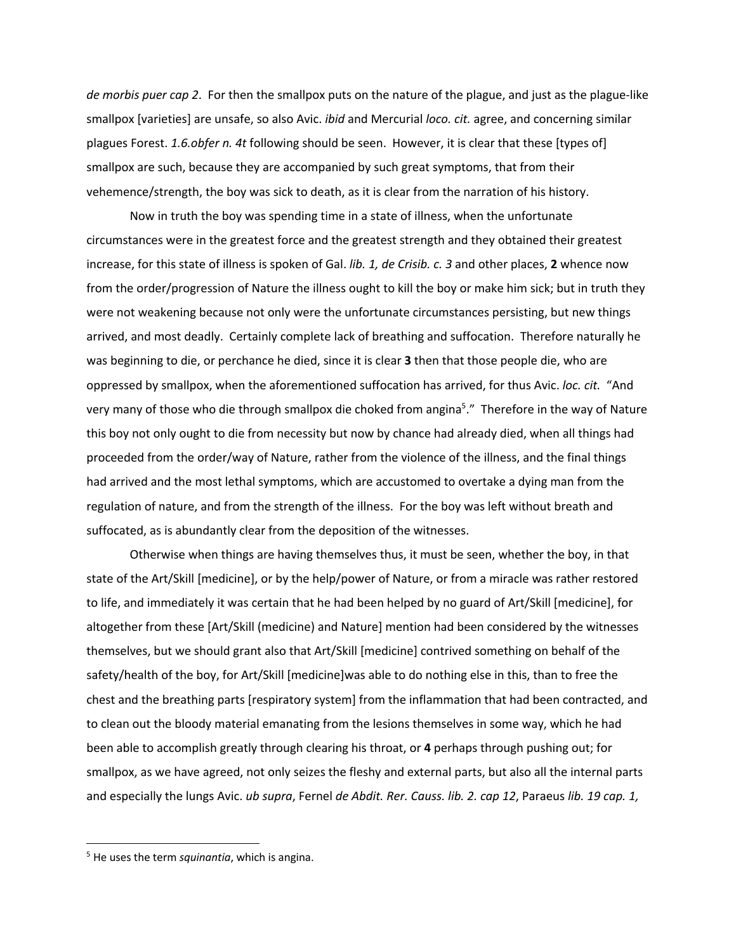*de morbis puer cap 2*. For then the smallpox puts on the nature of the plague, and just as the plague-like smallpox [varieties] are unsafe, so also Avic. *ibid* and Mercurial *loco. cit.* agree, and concerning similar plagues Forest. *1.6.obfer n. 4t* following should be seen. However, it is clear that these [types of] smallpox are such, because they are accompanied by such great symptoms, that from their vehemence/strength, the boy was sick to death, as it is clear from the narration of his history.

Now in truth the boy was spending time in a state of illness, when the unfortunate circumstances were in the greatest force and the greatest strength and they obtained their greatest increase, for this state of illness is spoken of Gal. *lib. 1, de Crisib. c. 3* and other places, **2** whence now from the order/progression of Nature the illness ought to kill the boy or make him sick; but in truth they were not weakening because not only were the unfortunate circumstances persisting, but new things arrived, and most deadly. Certainly complete lack of breathing and suffocation. Therefore naturally he was beginning to die, or perchance he died, since it is clear **3** then that those people die, who are oppressed by smallpox, when the aforementioned suffocation has arrived, for thus Avic. *loc. cit.* "And very many of those who die through smallpox die choked from angina<sup>5</sup>." Therefore in the way of Nature this boy not only ought to die from necessity but now by chance had already died, when all things had proceeded from the order/way of Nature, rather from the violence of the illness, and the final things had arrived and the most lethal symptoms, which are accustomed to overtake a dying man from the regulation of nature, and from the strength of the illness. For the boy was left without breath and suffocated, as is abundantly clear from the deposition of the witnesses.

Otherwise when things are having themselves thus, it must be seen, whether the boy, in that state of the Art/Skill [medicine], or by the help/power of Nature, or from a miracle was rather restored to life, and immediately it was certain that he had been helped by no guard of Art/Skill [medicine], for altogether from these [Art/Skill (medicine) and Nature] mention had been considered by the witnesses themselves, but we should grant also that Art/Skill [medicine] contrived something on behalf of the safety/health of the boy, for Art/Skill [medicine]was able to do nothing else in this, than to free the chest and the breathing parts [respiratory system] from the inflammation that had been contracted, and to clean out the bloody material emanating from the lesions themselves in some way, which he had been able to accomplish greatly through clearing his throat, or **4** perhaps through pushing out; for smallpox, as we have agreed, not only seizes the fleshy and external parts, but also all the internal parts and especially the lungs Avic. *ub supra*, Fernel *de Abdit. Rer. Causs. lib. 2. cap 12*, Paraeus *lib. 19 cap. 1,*

 <sup>5</sup> He uses the term *squinantia*, which is angina.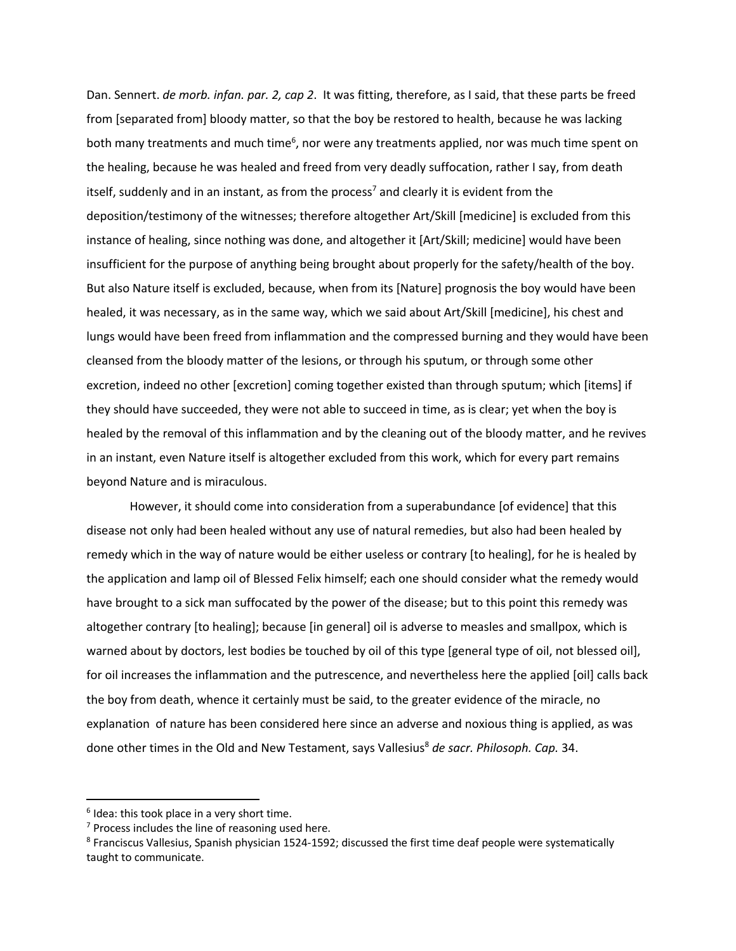Dan. Sennert. *de morb. infan. par. 2, cap 2*. It was fitting, therefore, as I said, that these parts be freed from [separated from] bloody matter, so that the boy be restored to health, because he was lacking both many treatments and much time<sup>6</sup>, nor were any treatments applied, nor was much time spent on the healing, because he was healed and freed from very deadly suffocation, rather I say, from death itself, suddenly and in an instant, as from the process<sup>7</sup> and clearly it is evident from the deposition/testimony of the witnesses; therefore altogether Art/Skill [medicine] is excluded from this instance of healing, since nothing was done, and altogether it [Art/Skill; medicine] would have been insufficient for the purpose of anything being brought about properly for the safety/health of the boy. But also Nature itself is excluded, because, when from its [Nature] prognosis the boy would have been healed, it was necessary, as in the same way, which we said about Art/Skill [medicine], his chest and lungs would have been freed from inflammation and the compressed burning and they would have been cleansed from the bloody matter of the lesions, or through his sputum, or through some other excretion, indeed no other [excretion] coming together existed than through sputum; which [items] if they should have succeeded, they were not able to succeed in time, as is clear; yet when the boy is healed by the removal of this inflammation and by the cleaning out of the bloody matter, and he revives in an instant, even Nature itself is altogether excluded from this work, which for every part remains beyond Nature and is miraculous.

However, it should come into consideration from a superabundance [of evidence] that this disease not only had been healed without any use of natural remedies, but also had been healed by remedy which in the way of nature would be either useless or contrary [to healing], for he is healed by the application and lamp oil of Blessed Felix himself; each one should consider what the remedy would have brought to a sick man suffocated by the power of the disease; but to this point this remedy was altogether contrary [to healing]; because [in general] oil is adverse to measles and smallpox, which is warned about by doctors, lest bodies be touched by oil of this type [general type of oil, not blessed oil], for oil increases the inflammation and the putrescence, and nevertheless here the applied [oil] calls back the boy from death, whence it certainly must be said, to the greater evidence of the miracle, no explanation of nature has been considered here since an adverse and noxious thing is applied, as was done other times in the Old and New Testament, says Vallesius<sup>8</sup> de sacr. Philosoph. Cap. 34.

 $6$  Idea: this took place in a very short time.

 $7$  Process includes the line of reasoning used here.

<sup>8</sup> Franciscus Vallesius, Spanish physician 1524-1592; discussed the first time deaf people were systematically taught to communicate.